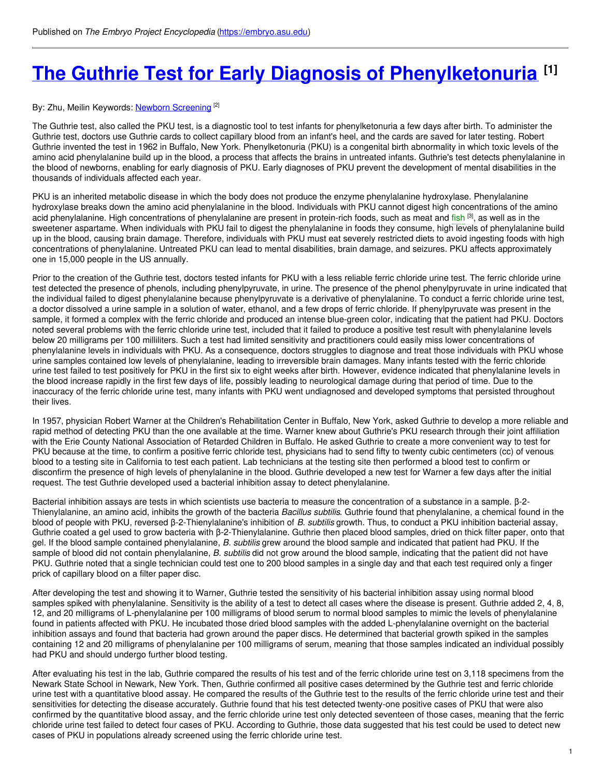# **The Guthrie Test for Early Diagnosis of [Phenylketonuria](https://embryo.asu.edu/pages/guthrie-test-early-diagnosis-phenylketonuria) [1]**

#### By: Zhu, Meilin Keywords: <u>Newborn [Screening](https://embryo.asu.edu/keywords/newborn-screening)</u> <sup>[2]</sup>

The Guthrie test, also called the PKU test, is a diagnostic tool to test infants for phenylketonuria a few days after birth. To administer the Guthrie test, doctors use Guthrie cards to collect capillary blood from an infant's heel, and the cards are saved for later testing. Robert Guthrie invented the test in 1962 in Buffalo, New York. Phenylketonuria (PKU) is a congenital birth abnormality in which toxic levels of the amino acid phenylalanine build up in the blood, a process that affects the brains in untreated infants. Guthrie's test detects phenylalanine in the blood of newborns, enabling for early diagnosis of PKU. Early diagnoses of PKU prevent the development of mental disabilities in the thousands of individuals affected each year.

PKU is an inherited metabolic disease in which the body does not produce the enzyme phenylalanine hydroxylase. Phenylalanine hydroxylase breaks down the amino acid phenylalanine in the blood. Individuals with PKU cannot digest high concentrations of the amino acid phenylalanine. High concentrations of phenylalanine are present in protein-rich foods, such as meat and [fish](https://embryo.asu.edu/search?text=fish) <sup>[3]</sup>, as well as in the sweetener aspartame. When individuals with PKU fail to digest the phenylalanine in foods they consume, high levels of phenylalanine build up in the blood, causing brain damage. Therefore, individuals with PKU must eat severely restricted diets to avoid ingesting foods with high concentrations of phenylalanine. Untreated PKU can lead to mental disabilities, brain damage, and seizures. PKU affects approximately one in 15,000 people in the US annually.

Prior to the creation of the Guthrie test, doctors tested infants for PKU with a less reliable ferric chloride urine test. The ferric chloride urine test detected the presence of phenols, including phenylpyruvate, in urine. The presence of the phenol phenylpyruvate in urine indicated that the individual failed to digest phenylalanine because phenylpyruvate is a derivative of phenylalanine. To conduct a ferric chloride urine test, a doctor dissolved a urine sample in a solution of water, ethanol, and a few drops of ferric chloride. If phenylpyruvate was present in the sample, it formed a complex with the ferric chloride and produced an intense blue-green color, indicating that the patient had PKU. Doctors noted several problems with the ferric chloride urine test, included that it failed to produce a positive test result with phenylalanine levels below 20 milligrams per 100 milliliters. Such a test had limited sensitivity and practitioners could easily miss lower concentrations of phenylalanine levels in individuals with PKU. As a consequence, doctors struggles to diagnose and treat those individuals with PKU whose urine samples contained low levels of phenylalanine, leading to irreversible brain damages. Many infants tested with the ferric chloride urine test failed to test positively for PKU in the first six to eight weeks after birth. However, evidence indicated that phenylalanine levels in the blood increase rapidly in the first few days of life, possibly leading to neurological damage during that period of time. Due to the inaccuracy of the ferric chloride urine test, many infants with PKU went undiagnosed and developed symptoms that persisted throughout their lives.

In 1957, physician Robert Warner at the Children's Rehabilitation Center in Buffalo, New York, asked Guthrie to develop a more reliable and rapid method of detecting PKU than the one available at the time. Warner knew about Guthrie's PKU research through their joint affiliation with the Erie County National Association of Retarded Children in Buffalo. He asked Guthrie to create a more convenient way to test for PKU because at the time, to confirm a positive ferric chloride test, physicians had to send fifty to twenty cubic centimeters (cc) of venous blood to a testing site in California to test each patient. Lab technicians at the testing site then performed a blood test to confirm or disconfirm the presence of high levels of phenylalanine in the blood. Guthrie developed a new test for Warner a few days after the initial request. The test Guthrie developed used a bacterial inhibition assay to detect phenylalanine.

Bacterial inhibition assays are tests in which scientists use bacteria to measure the concentration of a substance in a sample. β-2- Thienylalanine, an amino acid, inhibits the growth of the bacteria *Bacillus subtilis*. Guthrie found that phenylalanine, a chemical found in the blood of people with PKU, reversed β-2-Thienylalanine's inhibition of *B. subtilis* growth. Thus, to conduct a PKU inhibition bacterial assay, Guthrie coated a gel used to grow bacteria with β-2-Thienylalanine. Guthrie then placed blood samples, dried on thick filter paper, onto that gel. If the blood sample contained phenylalanine, *B. subtilis* grew around the blood sample and indicated that patient had PKU. If the sample of blood did not contain phenylalanine, *B. subtilis* did not grow around the blood sample, indicating that the patient did not have PKU. Guthrie noted that a single technician could test one to 200 blood samples in a single day and that each test required only a finger prick of capillary blood on a filter paper disc.

After developing the test and showing it to Warner, Guthrie tested the sensitivity of his bacterial inhibition assay using normal blood samples spiked with phenylalanine. Sensitivity is the ability of a test to detect all cases where the disease is present. Guthrie added 2, 4, 8, 12, and 20 milligrams of L-phenylalanine per 100 milligrams of blood serum to normal blood samples to mimic the levels of phenylalanine found in patients affected with PKU. He incubated those dried blood samples with the added L-phenylalanine overnight on the bacterial inhibition assays and found that bacteria had grown around the paper discs. He determined that bacterial growth spiked in the samples containing 12 and 20 milligrams of phenylalanine per 100 milligrams of serum, meaning that those samples indicated an individual possibly had PKU and should undergo further blood testing.

After evaluating his test in the lab, Guthrie compared the results of his test and of the ferric chloride urine test on 3,118 specimens from the Newark State School in Newark, New York. Then, Guthrie confirmed all positive cases determined by the Guthrie test and ferric chloride urine test with a quantitative blood assay. He compared the results of the Guthrie test to the results of the ferric chloride urine test and their sensitivities for detecting the disease accurately. Guthrie found that his test detected twenty-one positive cases of PKU that were also confirmed by the quantitative blood assay, and the ferric chloride urine test only detected seventeen of those cases, meaning that the ferric chloride urine test failed to detect four cases of PKU. According to Guthrie, those data suggested that his test could be used to detect new cases of PKU in populations already screened using the ferric chloride urine test.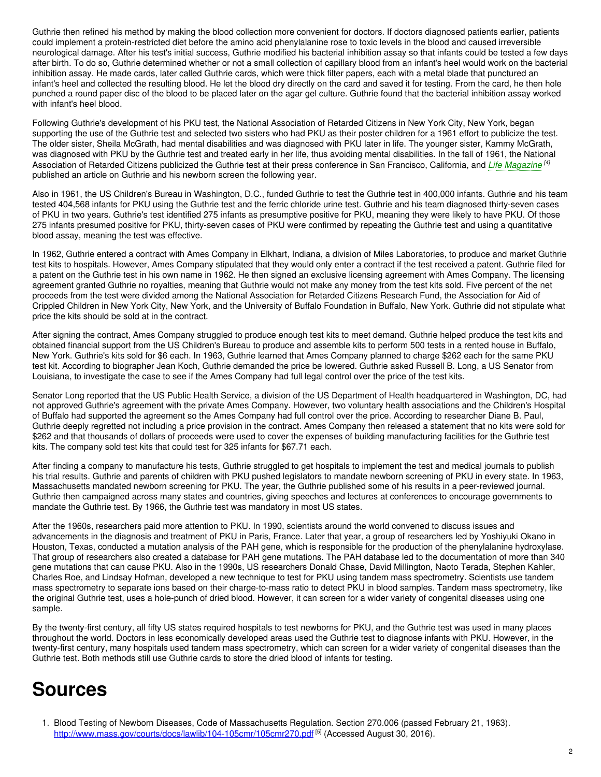Guthrie then refined his method by making the blood collection more convenient for doctors. If doctors diagnosed patients earlier, patients could implement a protein-restricted diet before the amino acid phenylalanine rose to toxic levels in the blood and caused irreversible neurological damage. After his test's initial success, Guthrie modified his bacterial inhibition assay so that infants could be tested a few days after birth. To do so, Guthrie determined whether or not a small collection of capillary blood from an infant's heel would work on the bacterial inhibition assay. He made cards, later called Guthrie cards, which were thick filter papers, each with a metal blade that punctured an infant's heel and collected the resulting blood. He let the blood dry directly on the card and saved it for testing. From the card, he then hole punched a round paper disc of the blood to be placed later on the agar gel culture. Guthrie found that the bacterial inhibition assay worked with infant's heel blood.

Following Guthrie's development of his PKU test, the National Association of Retarded Citizens in New York City, New York, began supporting the use of the Guthrie test and selected two sisters who had PKU as their poster children for a 1961 effort to publicize the test. The older sister, Sheila McGrath, had mental disabilities and was diagnosed with PKU later in life. The younger sister, Kammy McGrath, was diagnosed with PKU by the Guthrie test and treated early in her life, thus avoiding mental disabilities. In the fall of 1961, the National Association of Retarded Citizens publicized the Guthrie test at their press conference in San Francisco, California, and *Life [Magazine](https://embryo.asu.edu/search?text=Life%20Magazine) [4]* published an article on Guthrie and his newborn screen the following year.

Also in 1961, the US Children's Bureau in Washington, D.C., funded Guthrie to test the Guthrie test in 400,000 infants. Guthrie and his team tested 404,568 infants for PKU using the Guthrie test and the ferric chloride urine test. Guthrie and his team diagnosed thirty-seven cases of PKU in two years. Guthrie's test identified 275 infants as presumptive positive for PKU, meaning they were likely to have PKU. Of those 275 infants presumed positive for PKU, thirty-seven cases of PKU were confirmed by repeating the Guthrie test and using a quantitative blood assay, meaning the test was effective.

In 1962, Guthrie entered a contract with Ames Company in Elkhart, Indiana, a division of Miles Laboratories, to produce and market Guthrie test kits to hospitals. However, Ames Company stipulated that they would only enter a contract if the test received a patent. Guthrie filed for a patent on the Guthrie test in his own name in 1962. He then signed an exclusive licensing agreement with Ames Company. The licensing agreement granted Guthrie no royalties, meaning that Guthrie would not make any money from the test kits sold. Five percent of the net proceeds from the test were divided among the National Association for Retarded Citizens Research Fund, the Association for Aid of Crippled Children in New York City, New York, and the University of Buffalo Foundation in Buffalo, New York. Guthrie did not stipulate what price the kits should be sold at in the contract.

After signing the contract, Ames Company struggled to produce enough test kits to meet demand. Guthrie helped produce the test kits and obtained financial support from the US Children's Bureau to produce and assemble kits to perform 500 tests in a rented house in Buffalo, New York. Guthrie's kits sold for \$6 each. In 1963, Guthrie learned that Ames Company planned to charge \$262 each for the same PKU test kit. According to biographer Jean Koch, Guthrie demanded the price be lowered. Guthrie asked Russell B. Long, a US Senator from Louisiana, to investigate the case to see if the Ames Company had full legal control over the price of the test kits.

Senator Long reported that the US Public Health Service, a division of the US Department of Health headquartered in Washington, DC, had not approved Guthrie's agreement with the private Ames Company. However, two voluntary health associations and the Children's Hospital of Buffalo had supported the agreement so the Ames Company had full control over the price. According to researcher Diane B. Paul, Guthrie deeply regretted not including a price provision in the contract. Ames Company then released a statement that no kits were sold for \$262 and that thousands of dollars of proceeds were used to cover the expenses of building manufacturing facilities for the Guthrie test kits. The company sold test kits that could test for 325 infants for \$67.71 each.

After finding a company to manufacture his tests, Guthrie struggled to get hospitals to implement the test and medical journals to publish his trial results. Guthrie and parents of children with PKU pushed legislators to mandate newborn screening of PKU in every state. In 1963, Massachusetts mandated newborn screening for PKU. The year, the Guthrie published some of his results in a peer-reviewed journal. Guthrie then campaigned across many states and countries, giving speeches and lectures at conferences to encourage governments to mandate the Guthrie test. By 1966, the Guthrie test was mandatory in most US states.

After the 1960s, researchers paid more attention to PKU. In 1990, scientists around the world convened to discuss issues and advancements in the diagnosis and treatment of PKU in Paris, France. Later that year, a group of researchers led by Yoshiyuki Okano in Houston, Texas, conducted a mutation analysis of the PAH gene, which is responsible for the production of the phenylalanine hydroxylase. That group of researchers also created a database for PAH gene mutations. The PAH database led to the documentation of more than 340 gene mutations that can cause PKU. Also in the 1990s, US researchers Donald Chase, David Millington, Naoto Terada, Stephen Kahler, Charles Roe, and Lindsay Hofman, developed a new technique to test for PKU using tandem mass spectrometry. Scientists use tandem mass spectrometry to separate ions based on their charge-to-mass ratio to detect PKU in blood samples. Tandem mass spectrometry, like the original Guthrie test, uses a hole-punch of dried blood. However, it can screen for a wider variety of congenital diseases using one sample.

By the twenty-first century, all fifty US states required hospitals to test newborns for PKU, and the Guthrie test was used in many places throughout the world. Doctors in less economically developed areas used the Guthrie test to diagnose infants with PKU. However, in the twenty-first century, many hospitals used tandem mass spectrometry, which can screen for a wider variety of congenital diseases than the Guthrie test. Both methods still use Guthrie cards to store the dried blood of infants for testing.

## **Sources**

1. Blood Testing of Newborn Diseases, Code of Massachusetts Regulation. Section 270.006 (passed February 21, 1963). <http://www.mass.gov/courts/docs/lawlib/104-105cmr/105cmr270.pdf> [5] (Accessed August 30, 2016).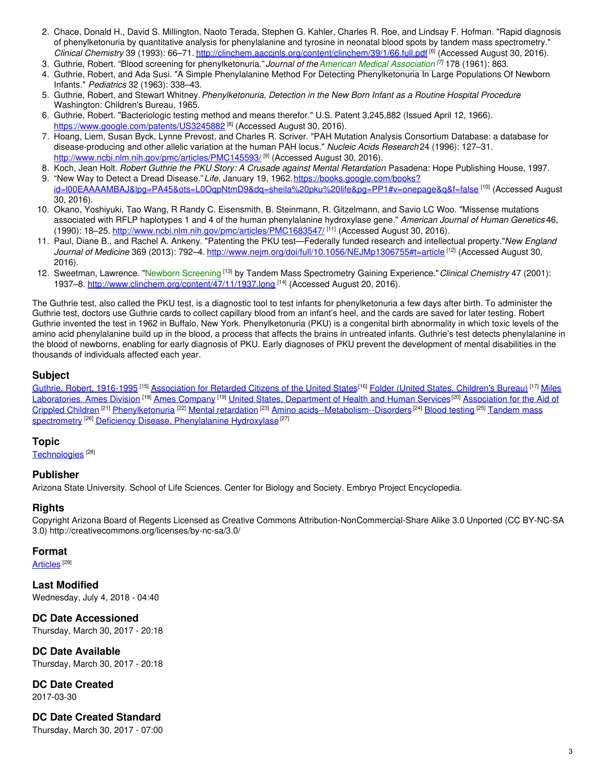- 2. Chace, Donald H., David S. Millington, Naoto Terada, Stephen G. Kahler, Charles R. Roe, and Lindsay F. Hofman. "Rapid diagnosis of phenylketonuria by quantitative analysis for phenylalanine and tyrosine in neonatal blood spots by tandem mass spectrometry." *Clinical Chemistry* 39 (1993): 66–71. <http://clinchem.aaccjnls.org/content/clinchem/39/1/66.full.pdf> [6] (Accessed August 30, 2016).
- 3. Guthrie, Robert. "Blood screening for phenylketonuria."*Journal of theAmerican Medical [Association](https://embryo.asu.edu/search?text=American%20Medical%20Association) [7]* 178 (1961): 863.
- 4. Guthrie, Robert, and Ada Susi. "A Simple Phenylalanine Method For Detecting Phenylketonuria In Large Populations Of Newborn Infants." *Pediatrics* 32 (1963): 338–43.
- 5. Guthrie, Robert, and Stewart Whitney.*Phenylketonuria, Detection in the New Born Infant as a Routine Hospital Procedure*. Washington: Children's Bureau, 1965.
- 6. Guthrie, Robert. "Bacteriologic testing method and means therefor." U.S. Patent 3,245,882 (Issued April 12, 1966). <https://www.google.com/patents/US3245882><sup>[8]</sup> (Accessed August 30, 2016).
- 7. Hoang, Liem, Susan Byck, Lynne Prevost, and Charles R. Scriver. "PAH Mutation Analysis Consortium Database: a database for disease-producing and other allelic variation at the human PAH locus." *Nucleic Acids Research* 24 (1996): 127–31. <http://www.ncbi.nlm.nih.gov/pmc/articles/PMC145593/> [<sup>9]</sup> (Accessed August 30, 2016).
- 8. Koch, Jean Holt. *Robert Guthrie the PKU Story: A Crusade against Mental Retardation*. Pasadena: Hope Publishing House, 1997.
- 9. "New Way to Detect a Dread Disease." Life, January 19, 1962. https://books.google.com/books? [id=l00EAAAAMBAJ&lpg=PA45&ots=L0OqpNtmD9&dq=sheila%20pku%20life&pg=PP1#v=onepage&q&f=false](https://books.google.com/books?id=l00EAAAAMBAJ&lpg=PA45&ots=L0OqpNtmD9&dq=sheila%20pku%20life&pg=PP1#v=onepage&q&f=false) [10] (Accessed August 30, 2016).
- 10. Okano, Yoshiyuki, Tao Wang, R Randy C. Eisensmith, B. Steinmann, R. Gitzelmann, and Savio LC Woo. "Missense mutations associated with RFLP haplotypes 1 and 4 of the human phenylalanine hydroxylase gene." *American Journal of Human Genetics* 46, (1990): 18–25. <u><http://www.ncbi.nlm.nih.gov/pmc/articles/PMC1683547/> [11]</u> (Accessed August 30, 2016).
- 11. Paul, Diane B., and Rachel A. Ankeny. "Patenting the PKU test—Federally funded research and intellectual property."*New England Journal of Medicine* 369 (2013): 792–4. <http://www.nejm.org/doi/full/10.1056/NEJMp1306755#t=article> [12] (Accessed August 30, 2016).
- 12. Sweetman, Lawrence. "Newborn [Screening](https://embryo.asu.edu/search?text=Newborn%20Screening) [13] by Tandem Mass Spectrometry Gaining Experience."*Clinical Chemistry* 47 (2001): 1937–8. <http://www.clinchem.org/content/47/11/1937.long> <sup>[14]</sup> (Accessed August 20, 2016).

The Guthrie test, also called the PKU test, is a diagnostic tool to test infants for phenylketonuria a few days after birth. To administer the Guthrie test, doctors use Guthrie cards to collect capillary blood from an infant's heel, and the cards are saved for later testing. Robert Guthrie invented the test in 1962 in Buffalo, New York. Phenylketonuria (PKU) is a congenital birth abnormality in which toxic levels of the amino acid phenylalanine build up in the blood, a process that affects the brains in untreated infants. Guthrie's test detects phenylalanine in the blood of newborns, enabling for early diagnosis of PKU. Early diagnoses of PKU prevent the development of mental disabilities in the thousands of individuals affected each year.

## **Subject**

Guthrie, Robert, [1916-1995](https://embryo.asu.edu/library-congress-subject-headings/guthrie-robert-1916-1995)<sup>[15]</sup> [Association](https://embryo.asu.edu/library-congress-subject-headings/association-retarded-citizens-united-states) for Retarded Citizens of the United States<sup>[16]</sup> Folder (United States. [Children's](https://embryo.asu.edu/library-congress-subject-headings/folder-united-states-childrens-bureau) Bureau)<sup>[17]</sup> Miles [Laboratories.](https://embryo.asu.edu/library-congress-subject-headings/miles-laboratories-ames-division) Ames Division <sup>[18]</sup> Ames [Company](https://embryo.asu.edu/library-congress-subject-headings/ames-company) <sup>[19]</sup> United States, [Department](https://embryo.asu.edu/library-congress-subject-headings/united-states-department-health-and-human-services) of Health and Human Services<sup>[20]</sup> Association for the Aid of Crippled Children <sup>[21]</sup> [Phenylketonuria](https://embryo.asu.edu/library-congress-subject-headings/phenylketonuria) <sup>[22]</sup> Mental [retardation](https://embryo.asu.edu/library-congress-subject-headings/mental-retardation) <sup>[23]</sup> Amino [acids--Metabolism--Disorders](https://embryo.asu.edu/library-congress-subject-headings/tandem-mass-spectrometry) <sup>[24]</sup> Blood [testing](https://embryo.asu.edu/library-congress-subject-headings/blood-testing) <sup>[25]</sup> Tandem mass spectrometry <sup>[26]</sup> Deficiency Disease, [Phenylalanine](https://embryo.asu.edu/medical-subject-headings/deficiency-disease-phenylalanine-hydroxylase) Hydroxylase <sup>[27]</sup>

## **Topic**

[Technologies](https://embryo.asu.edu/topics/technologies) [28]

### **Publisher**

Arizona State University. School of Life Sciences. Center for Biology and Society. Embryo Project Encyclopedia.

## **Rights**

Copyright Arizona Board of Regents Licensed as Creative Commons Attribution-NonCommercial-Share Alike 3.0 Unported (CC BY-NC-SA 3.0) http://creativecommons.org/licenses/by-nc-sa/3.0/

### **Format**

<u>[Articles](https://embryo.asu.edu/formats/articles)</u>  $^{[29]}$ 

**Last Modified** Wednesday, July 4, 2018 - 04:40

**DC Date Accessioned** Thursday, March 30, 2017 - 20:18

**DC Date Available** Thursday, March 30, 2017 - 20:18

**DC Date Created** 2017-03-30

**DC Date Created Standard**

Thursday, March 30, 2017 - 07:00